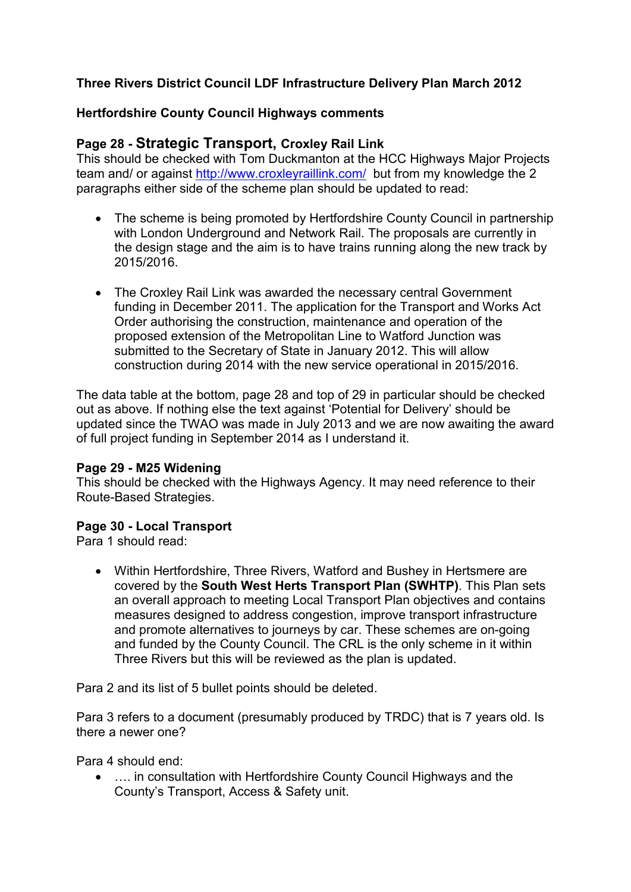# **Three Rivers District Council LDF Infrastructure Delivery Plan March 2012**

### **Hertfordshire County Council Highways comments**

# **Page 28 - Strategic Transport, Croxley Rail Link**

This should be checked with Tom Duckmanton at the HCC Highways Major Projects team and/ or against http://www.croxleyraillink.com/ but from my knowledge the 2 paragraphs either side of the scheme plan should be updated to read:

- The scheme is being promoted by Hertfordshire County Council in partnership with London Underground and Network Rail. The proposals are currently in the design stage and the aim is to have trains running along the new track by 2015/2016.
- The Croxley Rail Link was awarded the necessary central Government funding in December 2011. The application for the Transport and Works Act Order authorising the construction, maintenance and operation of the proposed extension of the Metropolitan Line to Watford Junction was submitted to the Secretary of State in January 2012. This will allow construction during 2014 with the new service operational in 2015/2016.

The data table at the bottom, page 28 and top of 29 in particular should be checked out as above. If nothing else the text against 'Potential for Delivery' should be updated since the TWAO was made in July 2013 and we are now awaiting the award of full project funding in September 2014 as I understand it.

#### **Page 29 - M25 Widening**

This should be checked with the Highways Agency. It may need reference to their Route-Based Strategies.

#### **Page 30 - Local Transport**

Para 1 should read:

 Within Hertfordshire, Three Rivers, Watford and Bushey in Hertsmere are covered by the **South West Herts Transport Plan (SWHTP)**. This Plan sets an overall approach to meeting Local Transport Plan objectives and contains measures designed to address congestion, improve transport infrastructure and promote alternatives to journeys by car. These schemes are on-going and funded by the County Council. The CRL is the only scheme in it within Three Rivers but this will be reviewed as the plan is updated.

Para 2 and its list of 5 bullet points should be deleted.

Para 3 refers to a document (presumably produced by TRDC) that is 7 years old. Is there a newer one?

Para 4 should end:

 …. in consultation with Hertfordshire County Council Highways and the County's Transport, Access & Safety unit.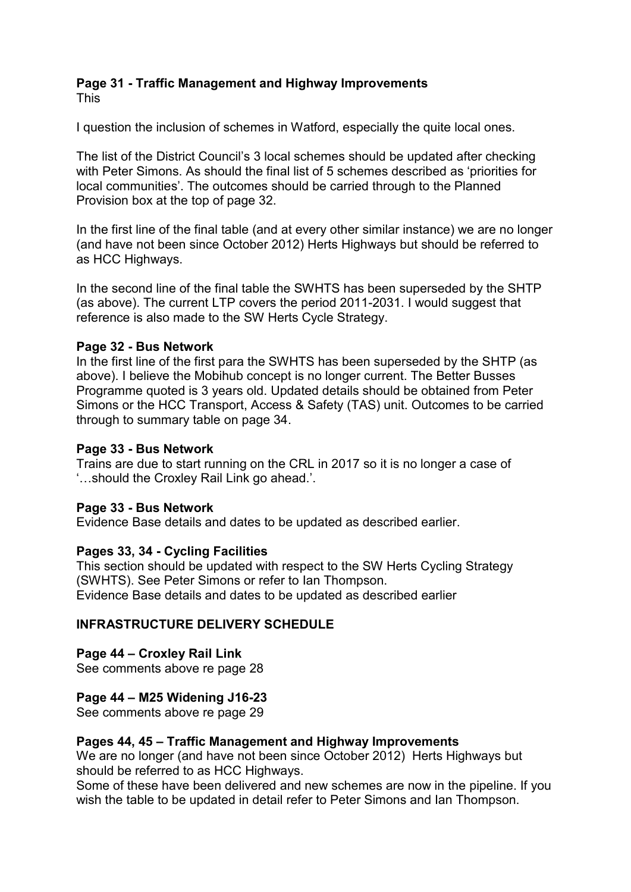#### **Page 31 - Traffic Management and Highway Improvements** This

I question the inclusion of schemes in Watford, especially the quite local ones.

The list of the District Council's 3 local schemes should be updated after checking with Peter Simons. As should the final list of 5 schemes described as 'priorities for local communities'. The outcomes should be carried through to the Planned Provision box at the top of page 32.

In the first line of the final table (and at every other similar instance) we are no longer (and have not been since October 2012) Herts Highways but should be referred to as HCC Highways.

In the second line of the final table the SWHTS has been superseded by the SHTP (as above). The current LTP covers the period 2011-2031. I would suggest that reference is also made to the SW Herts Cycle Strategy.

### **Page 32 - Bus Network**

In the first line of the first para the SWHTS has been superseded by the SHTP (as above). I believe the Mobihub concept is no longer current. The Better Busses Programme quoted is 3 years old. Updated details should be obtained from Peter Simons or the HCC Transport, Access & Safety (TAS) unit. Outcomes to be carried through to summary table on page 34.

### **Page 33 - Bus Network**

Trains are due to start running on the CRL in 2017 so it is no longer a case of '…should the Croxley Rail Link go ahead.'.

#### **Page 33 - Bus Network**

Evidence Base details and dates to be updated as described earlier.

# **Pages 33, 34 - Cycling Facilities**

This section should be updated with respect to the SW Herts Cycling Strategy (SWHTS). See Peter Simons or refer to Ian Thompson. Evidence Base details and dates to be updated as described earlier

# **INFRASTRUCTURE DELIVERY SCHEDULE**

# **Page 44 – Croxley Rail Link**

See comments above re page 28

#### **Page 44 – M25 Widening J16-23**

See comments above re page 29

# **Pages 44, 45 – Traffic Management and Highway Improvements**

We are no longer (and have not been since October 2012) Herts Highways but should be referred to as HCC Highways.

Some of these have been delivered and new schemes are now in the pipeline. If you wish the table to be updated in detail refer to Peter Simons and Ian Thompson.